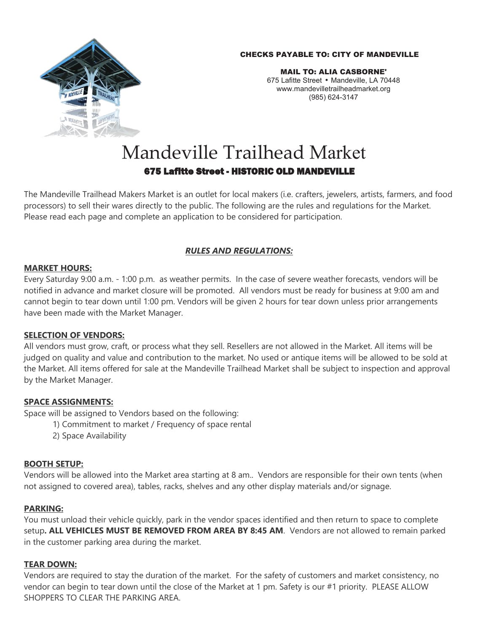#### CHECKS PAYABLE TO: CITY OF MANDEVILLE



MAIL TO: ALIA CASBORNE' 675 Lafitte Street • Mandeville, LA 70448 [www.mandevilletrailheadmarket.org](http://www.mandevilletrailheadmarket.org/) (985) 624-3147

# Mandeville Trailhead Market 675 Lafitte Street - HISTORIC OLD MANDEVILLE

The Mandeville Trailhead Makers Market is an outlet for local makers (i.e. crafters, jewelers, artists, farmers, and food processors) to sell their wares directly to the public. The following are the rules and regulations for the Market. Please read each page and complete an application to be considered for participation.

# *RULES AND REGULATIONS:*

#### **MARKET HOURS:**

Every Saturday 9:00 a.m. - 1:00 p.m. as weather permits. In the case of severe weather forecasts, vendors will be notified in advance and market closure will be promoted. All vendors must be ready for business at 9:00 am and cannot begin to tear down until 1:00 pm. Vendors will be given 2 hours for tear down unless prior arrangements have been made with the Market Manager.

# **SELECTION OF VENDORS:**

All vendors must grow, craft, or process what they sell. Resellers are not allowed in the Market. All items will be judged on quality and value and contribution to the market. No used or antique items will be allowed to be sold at the Market. All items offered for sale at the Mandeville Trailhead Market shall be subject to inspection and approval by the Market Manager.

#### **SPACE ASSIGNMENTS:**

Space will be assigned to Vendors based on the following:

- 1) Commitment to market / Frequency of space rental
- 2) Space Availability

#### **BOOTH SETUP:**

Vendors will be allowed into the Market area starting at 8 am.. Vendors are responsible for their own tents (when not assigned to covered area), tables, racks, shelves and any other display materials and/or signage.

#### **PARKING:**

You must unload their vehicle quickly, park in the vendor spaces identified and then return to space to complete setup**. ALL VEHICLES MUST BE REMOVED FROM AREA BY 8:45 AM**. Vendors are not allowed to remain parked in the customer parking area during the market.

#### **TEAR DOWN:**

Vendors are required to stay the duration of the market. For the safety of customers and market consistency, no vendor can begin to tear down until the close of the Market at 1 pm. Safety is our #1 priority. PLEASE ALLOW SHOPPERS TO CLEAR THE PARKING AREA.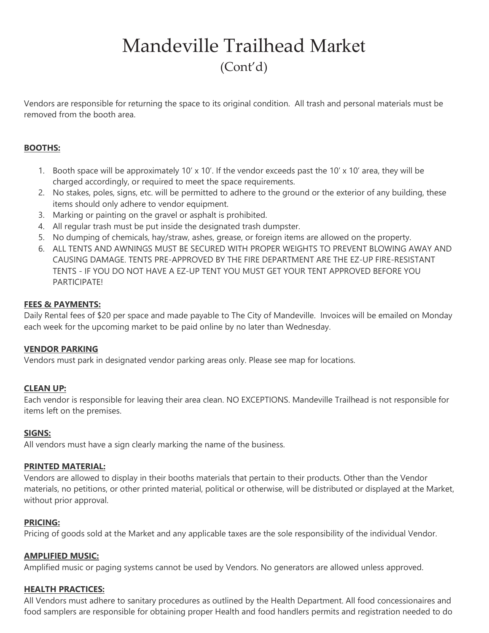# Mandeville Trailhead Market (Cont'd)

Vendors are responsible for returning the space to its original condition. All trash and personal materials must be removed from the booth area.

# **BOOTHS:**

- 1. Booth space will be approximately 10' x 10'. If the vendor exceeds past the 10' x 10' area, they will be charged accordingly, or required to meet the space requirements.
- 2. No stakes, poles, signs, etc. will be permitted to adhere to the ground or the exterior of any building, these items should only adhere to vendor equipment.
- 3. Marking or painting on the gravel or asphalt is prohibited.
- 4. All regular trash must be put inside the designated trash dumpster.
- 5. No dumping of chemicals, hay/straw, ashes, grease, or foreign items are allowed on the property.
- 6. ALL TENTS AND AWNINGS MUST BE SECURED WITH PROPER WEIGHTS TO PREVENT BLOWING AWAY AND CAUSING DAMAGE. TENTS PRE-APPROVED BY THE FIRE DEPARTMENT ARE THE EZ-UP FIRE-RESISTANT TENTS - IF YOU DO NOT HAVE A EZ-UP TENT YOU MUST GET YOUR TENT APPROVED BEFORE YOU PARTICIPATE!

#### **FEES & PAYMENTS:**

Daily Rental fees of \$20 per space and made payable to The City of Mandeville. Invoices will be emailed on Monday each week for the upcoming market to be paid online by no later than Wednesday.

# **VENDOR PARKING**

Vendors must park in designated vendor parking areas only. Please see map for locations.

# **CLEAN UP:**

Each vendor is responsible for leaving their area clean. NO EXCEPTIONS. Mandeville Trailhead is not responsible for items left on the premises.

#### **SIGNS:**

All vendors must have a sign clearly marking the name of the business.

#### **PRINTED MATERIAL:**

Vendors are allowed to display in their booths materials that pertain to their products. Other than the Vendor materials, no petitions, or other printed material, political or otherwise, will be distributed or displayed at the Market, without prior approval.

# **PRICING:**

Pricing of goods sold at the Market and any applicable taxes are the sole responsibility of the individual Vendor.

# **AMPLIFIED MUSIC:**

Amplified music or paging systems cannot be used by Vendors. No generators are allowed unless approved.

# **HEALTH PRACTICES:**

All Vendors must adhere to sanitary procedures as outlined by the Health Department. All food concessionaires and food samplers are responsible for obtaining proper Health and food handlers permits and registration needed to do